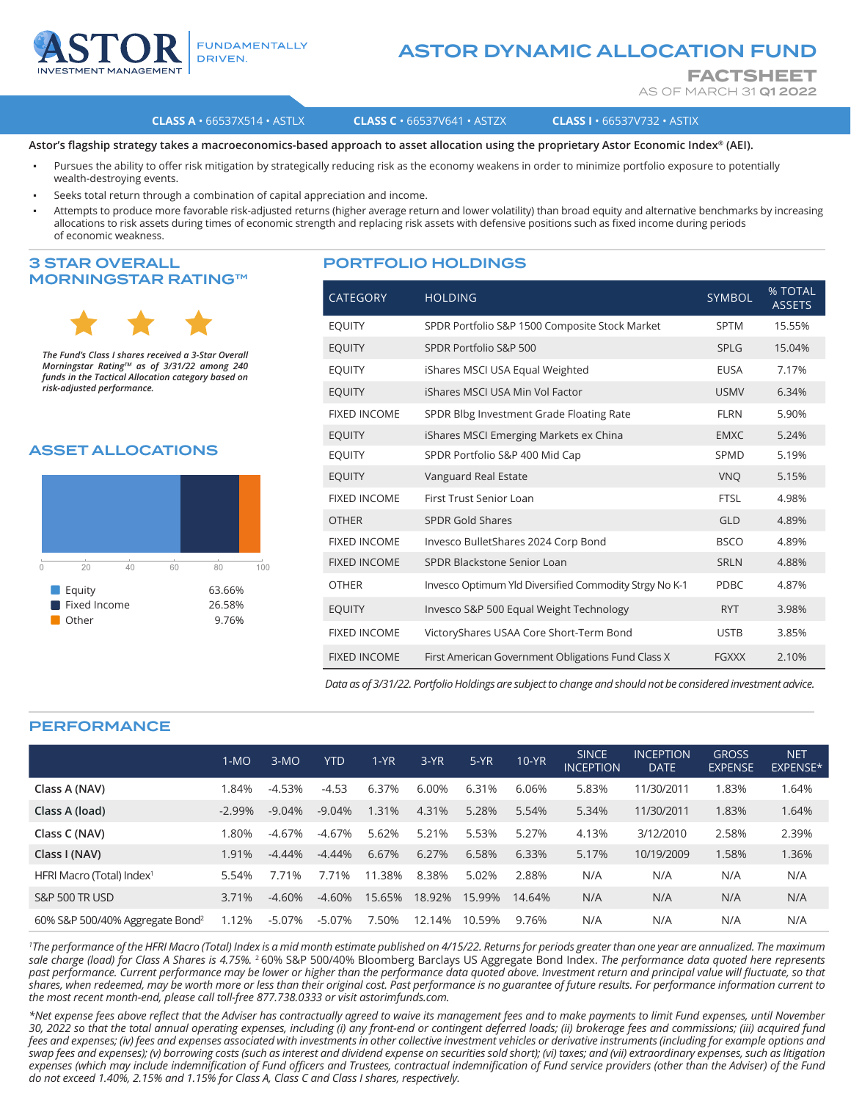

### **FUNDAMENTALLY** DRIVEN.

# ASTOR DYNAMIC ALLOCATION FUND

**FACTSHEET** AS OF MARCH 31 Q1 2022

#### **CLASS A** • 66537X514 • ASTLX **CLASS C** • 66537V641 • ASTZX **CLASS I** • 66537V732 • ASTIX

**Astor's flagship strategy takes a macroeconomics-based approach to asset allocation using the proprietary Astor Economic Index® (AEI).**

- Pursues the ability to offer risk mitigation by strategically reducing risk as the economy weakens in order to minimize portfolio exposure to potentially wealth-destroying events.
- Seeks total return through a combination of capital appreciation and income.
- Attempts to produce more favorable risk-adjusted returns (higher average return and lower volatility) than broad equity and alternative benchmarks by increasing allocations to risk assets during times of economic strength and replacing risk assets with defensive positions such as fixed income during periods of economic weakness.

## 3 STAR OVERALL MORNINGSTAR RATING™



*The Fund's Class I shares received a 3-Star Overall Morningstar RatingTM as of 3/31/22 among 240 funds in the Tactical Allocation category based on risk-adjusted performance.*

## ASSET ALLOCATIONS



#### PORTFOLIO HOLDINGS

| <b>CATEGORY</b>     | <b>HOLDING</b>                                         | <b>SYMBOL</b> | % TOTAL<br><b>ASSETS</b> |
|---------------------|--------------------------------------------------------|---------------|--------------------------|
| <b>EOUITY</b>       | SPDR Portfolio S&P 1500 Composite Stock Market         | <b>SPTM</b>   | 15.55%                   |
| <b>EQUITY</b>       | SPDR Portfolio S&P 500                                 | SPLG          | 15.04%                   |
| <b>EOUITY</b>       | iShares MSCI USA Equal Weighted                        | <b>EUSA</b>   | 7.17%                    |
| <b>EQUITY</b>       | iShares MSCI USA Min Vol Factor                        | <b>USMV</b>   | 6.34%                    |
| <b>FIXED INCOME</b> | SPDR Blbg Investment Grade Floating Rate               | <b>FLRN</b>   | 5.90%                    |
| <b>EQUITY</b>       | iShares MSCI Emerging Markets ex China                 | <b>EMXC</b>   | 5.24%                    |
| <b>EQUITY</b>       | SPDR Portfolio S&P 400 Mid Cap                         | SPMD          | 5.19%                    |
| <b>EQUITY</b>       | Vanguard Real Estate                                   | <b>VNO</b>    | 5.15%                    |
| <b>FIXED INCOME</b> | First Trust Senior Loan                                | <b>FTSL</b>   | 4.98%                    |
| <b>OTHER</b>        | <b>SPDR Gold Shares</b>                                | GLD           | 4.89%                    |
| <b>FIXED INCOME</b> | Invesco BulletShares 2024 Corp Bond                    | <b>BSCO</b>   | 4.89%                    |
| <b>FIXED INCOME</b> | SPDR Blackstone Senior Loan                            | <b>SRLN</b>   | 4.88%                    |
| <b>OTHER</b>        | Invesco Optimum Yld Diversified Commodity Strgy No K-1 | <b>PDBC</b>   | 4.87%                    |
| <b>EQUITY</b>       | Invesco S&P 500 Equal Weight Technology                | <b>RYT</b>    | 3.98%                    |
| <b>FIXED INCOME</b> | VictoryShares USAA Core Short-Term Bond                | <b>USTB</b>   | 3.85%                    |
| <b>FIXED INCOME</b> | First American Government Obligations Fund Class X     | <b>FGXXX</b>  | 2.10%                    |

*Data as of 3/31/22. Portfolio Holdings are subject to change and should not be considered investment advice.*

# PERFORMANCE

|                                             | $1-MO$   | $3-MO$    | <b>YTD</b> | $1-YR$ | $3-YR$ | $5-YR$ | <b>10-YR</b> | <b>SINCE</b><br><b>INCEPTION</b> | <b>INCEPTION</b><br><b>DATE</b> | <b>GROSS</b><br><b>EXPENSE</b> | <b>NET</b><br>EXPENSE* |
|---------------------------------------------|----------|-----------|------------|--------|--------|--------|--------------|----------------------------------|---------------------------------|--------------------------------|------------------------|
| Class A (NAV)                               | 1.84%    | $-4.53%$  | $-4.53$    | 6.37%  | 6.00%  | 6.31%  | 6.06%        | 5.83%                            | 11/30/2011                      | 1.83%                          | 1.64%                  |
| Class A (load)                              | $-2.99%$ | $-9.04%$  | $-9.04%$   | 1.31%  | 4.31%  | 5.28%  | 5.54%        | 5.34%                            | 11/30/2011                      | 1.83%                          | 1.64%                  |
| Class C (NAV)                               | 1.80%    | $-4.67%$  | $-4.67%$   | 5.62%  | 5.21%  | 5.53%  | 5.27%        | 4.13%                            | 3/12/2010                       | 2.58%                          | 2.39%                  |
| Class I (NAV)                               | 1.91%    | $-4.44\%$ | $-4.44\%$  | 6.67%  | 6.27%  | 6.58%  | 6.33%        | 5.17%                            | 10/19/2009                      | 1.58%                          | 1.36%                  |
| HFRI Macro (Total) Index <sup>1</sup>       | 5.54%    | 7.71%     | 7.71%      | 11.38% | 8.38%  | 5.02%  | 2.88%        | N/A                              | N/A                             | N/A                            | N/A                    |
| <b>S&amp;P 500 TR USD</b>                   | 3.71%    | $-4.60%$  | $-4.60\%$  | 15.65% | 18.92% | 15.99% | 14.64%       | N/A                              | N/A                             | N/A                            | N/A                    |
| 60% S&P 500/40% Aggregate Bond <sup>2</sup> | 1.12%    | $-5.07\%$ | $-5.07%$   | 7.50%  | 12.14% | 10.59% | 9.76%        | N/A                              | N/A                             | N/A                            | N/A                    |

*1 The performance of the HFRI Macro (Total) Index is a mid month estimate published on 4/15/22. Returns for periods greater than one year are annualized. The maximum sale charge (load) for Class A Shares is 4.75%.* <sup>2</sup>60% S&P 500/40% Bloomberg Barclays US Aggregate Bond Index. *The performance data quoted here represents*  past performance. Current performance may be lower or higher than the performance data quoted above. Investment return and principal value will fluctuate, so that *shares, when redeemed, may be worth more or less than their original cost. Past performance is no guarantee of future results. For performance information current to the most recent month-end, please call toll-free 877.738.0333 or visit astorimfunds.com.* 

*\*Net expense fees above reflect that the Adviser has contractually agreed to waive its management fees and to make payments to limit Fund expenses, until November 30, 2022 so that the total annual operating expenses, including (i) any front-end or contingent deferred loads; (ii) brokerage fees and commissions; (iii) acquired fund fees and expenses; (iv) fees and expenses associated with investments in other collective investment vehicles or derivative instruments (including for example options and swap fees and expenses); (v) borrowing costs (such as interest and dividend expense on securities sold short); (vi) taxes; and (vii) extraordinary expenses, such as litigation expenses (which may include indemnification of Fund officers and Trustees, contractual indemnification of Fund service providers (other than the Adviser) of the Fund do not exceed 1.40%, 2.15% and 1.15% for Class A, Class C and Class I shares, respectively.*